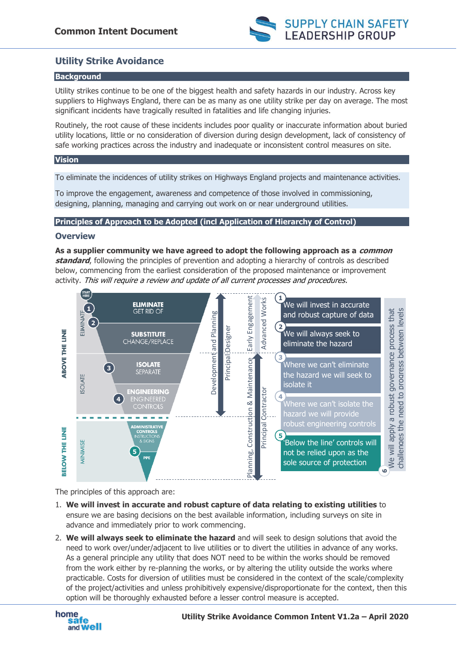

# **Utility Strike Avoidance**

## **Background**

Utility strikes continue to be one of the biggest health and safety hazards in our industry. Across key suppliers to Highways England, there can be as many as one utility strike per day on average. The most significant incidents have tragically resulted in fatalities and life changing injuries.

Routinely, the root cause of these incidents includes poor quality or inaccurate information about buried utility locations, little or no consideration of diversion during design development, lack of consistency of safe working practices across the industry and inadequate or inconsistent control measures on site.

### **Vision**

To eliminate the incidences of utility strikes on Highways England projects and maintenance activities.

To improve the engagement, awareness and competence of those involved in commissioning, designing, planning, managing and carrying out work on or near underground utilities.

### **Principles of Approach to be Adopted (incl Application of Hierarchy of Control)**

## **Overview**

**As a supplier community we have agreed to adopt the following approach as a common standard**, following the principles of prevention and adopting a hierarchy of controls as described below, commencing from the earliest consideration of the proposed maintenance or improvement activity. This will require a review and update of all current processes and procedures.



The principles of this approach are:

- 1. **We will invest in accurate and robust capture of data relating to existing utilities** to ensure we are basing decisions on the best available information, including surveys on site in advance and immediately prior to work commencing.
- 2. **We will always seek to eliminate the hazard** and will seek to design solutions that avoid the need to work over/under/adjacent to live utilities or to divert the utilities in advance of any works. As a general principle any utility that does NOT need to be within the works should be removed from the work either by re-planning the works, or by altering the utility outside the works where practicable. Costs for diversion of utilities must be considered in the context of the scale/complexity of the project/activities and unless prohibitively expensive/disproportionate for the context, then this